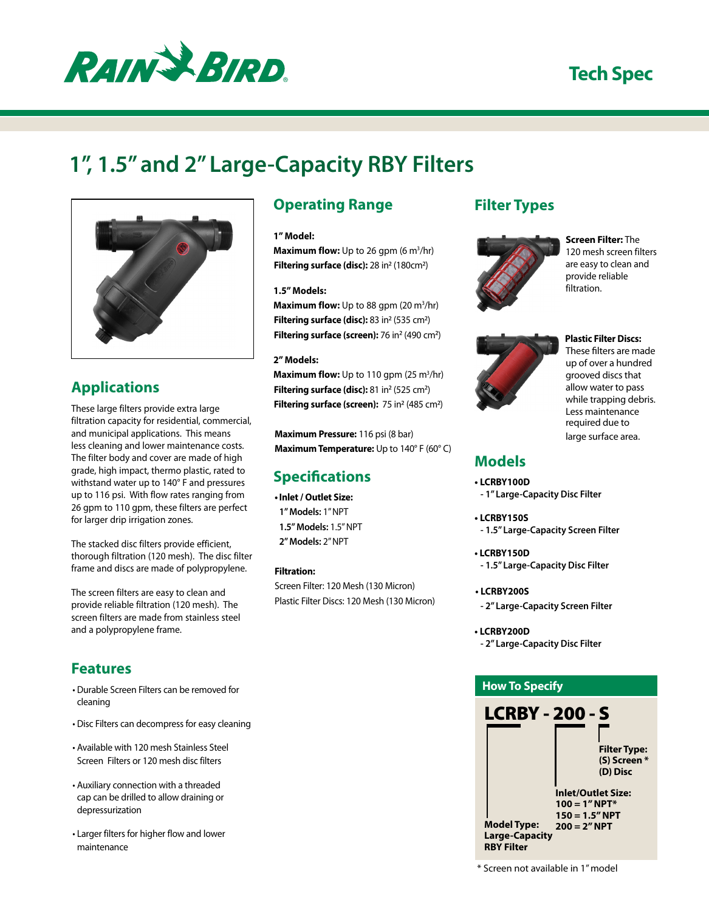

# **Tech Spec**

# **1", 1.5" and 2" Large-Capacity RBY Filters**



## **Applications**

These large filters provide extra large filtration capacity for residential, commercial, and municipal applications. This means less cleaning and lower maintenance costs. The filter body and cover are made of high grade, high impact, thermo plastic, rated to withstand water up to 140° F and pressures up to 116 psi. With flow rates ranging from 26 gpm to 110 gpm, these filters are perfect for larger drip irrigation zones.

The stacked disc filters provide efficient, thorough filtration (120 mesh). The disc filter frame and discs are made of polypropylene.

The screen filters are easy to clean and provide reliable filtration (120 mesh). The screen filters are made from stainless steel and a polypropylene frame.

## **Features**

- • Durable Screen Filters can be removed for cleaning
- • Disc Filters can decompress for easy cleaning
- • Available with 120 mesh Stainless Steel Screen Filters or 120 mesh disc filters
- • Auxiliary connection with a threaded cap can be drilled to allow draining or depressurization
- • Larger filters for higher flow and lower maintenance

## **Operating Range**

#### **1" Model:**

**Maximum flow:** Up to 26 gpm (6 m<sup>3</sup>/hr) Filtering surface (disc): 28 in<sup>2</sup> (180cm<sup>2</sup>)

#### **1.5" Models:**

**Maximum flow:** Up to 88 gpm (20 m<sup>3</sup>/hr) Filtering surface (disc): 83 in<sup>2</sup> (535 cm<sup>2</sup>) Filtering surface (screen): 76 in<sup>2</sup> (490 cm<sup>2</sup>)

#### **2" Models:**

**Maximum flow:** Up to 110 gpm (25 m<sup>3</sup>/hr) Filtering surface (disc): 81 in<sup>2</sup> (525 cm<sup>2</sup>) Filtering surface (screen): 75 in<sup>2</sup> (485 cm<sup>2</sup>)

**Maximum Pressure:** 116 psi (8 bar) **Maximum Temperature:** Up to 140° F (60° C)

## **Specifications**

**• Inlet / Outlet Size: 1" Models:** 1" NPT **1.5" Models:** 1.5" NPT **2" Models:** 2" NPT

**Filtration:** 

Screen Filter: 120 Mesh (130 Micron) Plastic Filter Discs: 120 Mesh (130 Micron)

### **Filter Types**



#### **Screen Filter:** The 120 mesh screen filters are easy to clean and provide reliable filtration.



#### **Plastic Filter Discs:** These filters are made up of over a hundred grooved discs that allow water to pass while trapping debris. Less maintenance required due to large surface area.

## **Models**

- **• LCRBY100D**
- **1" Large-Capacity Disc Filter**
- **• LCRBY150S - 1.5" Large-Capacity Screen Filter**
- **• LCRBY150D - 1.5" Large-Capacity Disc Filter**
- **• LCRBY200S**
- **2" Large-Capacity Screen Filter**
- **• LCRBY200D - 2" Large-Capacity Disc Filter**



\* Screen not available in 1"model